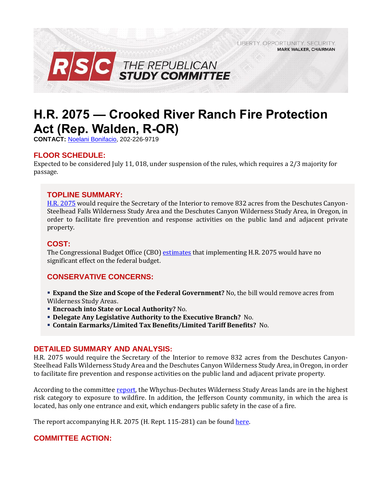LIBERTY, OPPORTUNITY, SECURITY, **MARK WALKER, CHAIRMAN** 



# **H.R. 2075 — Crooked River Ranch Fire Protection Act (Rep. Walden, R-OR)**

**CONTACT:** [Noelani Bonifacio,](mailto:Noelani.Bonifacio@mail.house.gov) 202-226-9719

## **FLOOR SCHEDULE:**

Expected to be considered July 11, 018, under suspension of the rules, which requires a 2/3 majority for passage.

#### **TOPLINE SUMMARY:**

[H.R. 2075](https://www.gpo.gov/fdsys/pkg/BILLS-115hr2075rh/pdf/BILLS-115hr2075rh.pdf) would require the Secretary of the Interior to remove 832 acres from the Deschutes Canyon-Steelhead Falls Wilderness Study Area and the Deschutes Canyon Wilderness Study Area, in Oregon, in order to facilitate fire prevention and response activities on the public land and adjacent private property.

# **COST:**

The Congressional Budget Office (CBO) [estimates](https://www.cbo.gov/system/files/115th-congress-2017-2018/costestimate/hr2075.pdf) that implementing H.R. 2075 would have no significant effect on the federal budget.

## **CONSERVATIVE CONCERNS:**

- **Expand the Size and Scope of the Federal Government?** No, the bill would remove acres from Wilderness Study Areas.
- **Encroach into State or Local Authority?** No.
- **Delegate Any Legislative Authority to the Executive Branch?** No.
- **Contain Earmarks/Limited Tax Benefits/Limited Tariff Benefits?** No.

#### **DETAILED SUMMARY AND ANALYSIS:**

H.R. 2075 would require the Secretary of the Interior to remove 832 acres from the Deschutes Canyon-Steelhead Falls Wilderness Study Area and the Deschutes Canyon Wilderness Study Area, in Oregon, in order to facilitate fire prevention and response activities on the public land and adjacent private property.

According to the committee [report,](https://www.gpo.gov/fdsys/pkg/CRPT-115hrpt281/pdf/CRPT-115hrpt281.pdf) the Whychus-Dechutes Wilderness Study Areas lands are in the highest risk category to exposure to wildfire. In addition, the Jefferson County community, in which the area is located, has only one entrance and exit, which endangers public safety in the case of a fire.

The report accompanying H.R. 2075 (H. Rept. 115-281) can be found [here.](https://www.gpo.gov/fdsys/pkg/CRPT-115hrpt281/pdf/CRPT-115hrpt281.pdf)

## **COMMITTEE ACTION:**